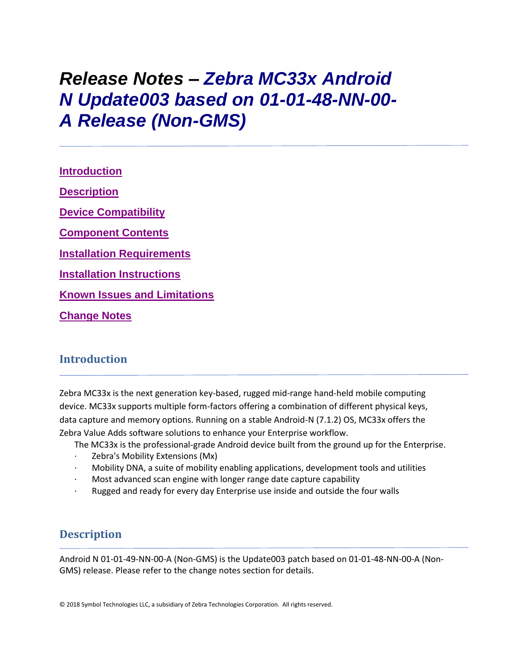# *Release Notes – Zebra MC33x Android N Update003 based on 01-01-48-NN-00- A Release (Non-GMS)*

**[Introduction](file:///C:/Users/GRM1/AppData/Local/Microsoft/Windows/Temporary%20Internet%20Files/Content.Outlook/R2OHE4UY/MC33%20Non-GMS%20Release%20Notes%20v01-01-48-NN-00-A_Update003.htm%23_Introduction) [Description](file:///C:/Users/GRM1/AppData/Local/Microsoft/Windows/Temporary%20Internet%20Files/Content.Outlook/R2OHE4UY/MC33%20Non-GMS%20Release%20Notes%20v01-01-48-NN-00-A_Update003.htm%23Description) [Device Compatibility](file:///C:/Users/GRM1/AppData/Local/Microsoft/Windows/Temporary%20Internet%20Files/Content.Outlook/R2OHE4UY/MC33%20Non-GMS%20Release%20Notes%20v01-01-48-NN-00-A_Update003.htm%23DeviceCompatibility) [Component Contents](file:///C:/Users/GRM1/AppData/Local/Microsoft/Windows/Temporary%20Internet%20Files/Content.Outlook/R2OHE4UY/MC33%20Non-GMS%20Release%20Notes%20v01-01-48-NN-00-A_Update003.htm%23ComponentContents) [Installation Requirements](file:///C:/Users/GRM1/AppData/Local/Microsoft/Windows/Temporary%20Internet%20Files/Content.Outlook/R2OHE4UY/MC33%20Non-GMS%20Release%20Notes%20v01-01-48-NN-00-A_Update003.htm%23InstallationRequirements) [Installation Instructions](file:///C:/Users/GRM1/AppData/Local/Microsoft/Windows/Temporary%20Internet%20Files/Content.Outlook/R2OHE4UY/MC33%20Non-GMS%20Release%20Notes%20v01-01-48-NN-00-A_Update003.htm%23InstallationInstructions) Known [Issues and Limitations](file:///C:/Users/GRM1/AppData/Local/Microsoft/Windows/Temporary%20Internet%20Files/Content.Outlook/R2OHE4UY/MC33%20Non-GMS%20Release%20Notes%20v01-01-48-NN-00-A_Update003.htm%23_Known_Issues_and) [Change Notes](file:///C:/Users/GRM1/AppData/Local/Microsoft/Windows/Temporary%20Internet%20Files/Content.Outlook/R2OHE4UY/MC33%20Non-GMS%20Release%20Notes%20v01-01-48-NN-00-A_Update003.htm%23_Change_Notes)**

## **Introduction**

Zebra MC33x is the next generation key-based, rugged mid-range hand-held mobile computing device. MC33x supports multiple form-factors offering a combination of different physical keys, data capture and memory options. Running on a stable Android-N (7.1.2) OS, MC33x offers the Zebra Value Adds software solutions to enhance your Enterprise workflow.

The MC33x is the professional-grade Android device built from the ground up for the Enterprise.

- Zebra's Mobility Extensions (Mx)
- · Mobility DNA, a suite of mobility enabling applications, development tools and utilities
- Most advanced scan engine with longer range date capture capability
- Rugged and ready for every day Enterprise use inside and outside the four walls

## **Description**

Android N 01-01-49-NN-00-A (Non-GMS) is the Update003 patch based on 01-01-48-NN-00-A (Non-GMS) release. Please refer to the change notes section for details.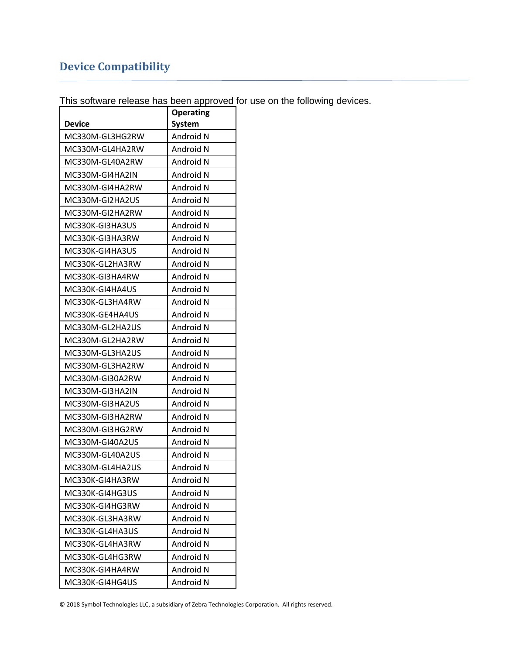# **Device Compatibility**

This software release has been approved for use on the following devices.

|                 | <b>Operating</b> |
|-----------------|------------------|
| <b>Device</b>   | System           |
| MC330M-GL3HG2RW | Android N        |
| MC330M-GL4HA2RW | Android N        |
| MC330M-GL40A2RW | Android N        |
| MC330M-GI4HA2IN | Android N        |
| MC330M-GI4HA2RW | Android N        |
| MC330M-GI2HA2US | Android N        |
| MC330M-GI2HA2RW | Android N        |
| MC330K-GI3HA3US | Android N        |
| MC330K-GI3HA3RW | Android N        |
| MC330K-GI4HA3US | Android N        |
| MC330K-GL2HA3RW | Android N        |
| MC330K-GI3HA4RW | Android N        |
| MC330K-GI4HA4US | Android N        |
| MC330K-GL3HA4RW | Android N        |
| MC330K-GE4HA4US | Android N        |
| MC330M-GL2HA2US | Android N        |
| MC330M-GL2HA2RW | Android N        |
| MC330M-GL3HA2US | Android N        |
| MC330M-GL3HA2RW | Android N        |
| MC330M-GI30A2RW | Android N        |
| MC330M-GI3HA2IN | Android N        |
| MC330M-GI3HA2US | Android N        |
| MC330M-GI3HA2RW | Android N        |
| MC330M-GI3HG2RW | Android N        |
| MC330M-GI40A2US | Android N        |
| MC330M-GL40A2US | Android N        |
| MC330M-GL4HA2US | Android N        |
| MC330K-GI4HA3RW | Android N        |
| MC330K-GI4HG3US | Android N        |
| MC330K-GI4HG3RW | Android N        |
| MC330K-GL3HA3RW | Android N        |
| MC330K-GL4HA3US | Android N        |
| MC330K-GL4HA3RW | Android N        |
| MC330K-GL4HG3RW | Android N        |
| MC330K-GI4HA4RW | Android N        |
| MC330K-GI4HG4US | Android N        |

© 2018 Symbol Technologies LLC, a subsidiary of Zebra Technologies Corporation. All rights reserved.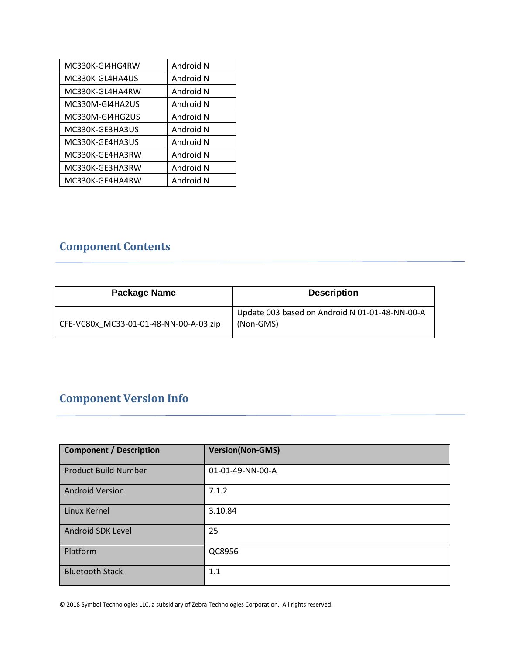| MC330K-GI4HG4RW | Android N |
|-----------------|-----------|
| MC330K-GL4HA4US | Android N |
| MC330K-GL4HA4RW | Android N |
| MC330M-GI4HA2US | Android N |
| MC330M-GI4HG2US | Android N |
| MC330K-GE3HA3US | Android N |
| MC330K-GE4HA3US | Android N |
| MC330K-GE4HA3RW | Android N |
| MC330K-GE3HA3RW | Android N |
| MC330K-GE4HA4RW | Android N |

# **Component Contents**

| Package Name                           | <b>Description</b>                                          |
|----------------------------------------|-------------------------------------------------------------|
| CFE-VC80x MC33-01-01-48-NN-00-A-03.zip | Update 003 based on Android N 01-01-48-NN-00-A<br>(Non-GMS) |

# **Component Version Info**

| <b>Component / Description</b> | <b>Version(Non-GMS)</b> |
|--------------------------------|-------------------------|
| <b>Product Build Number</b>    | 01-01-49-NN-00-A        |
| <b>Android Version</b>         | 7.1.2                   |
| Linux Kernel                   | 3.10.84                 |
| Android SDK Level              | 25                      |
| Platform                       | QC8956                  |
| <b>Bluetooth Stack</b>         | 1.1                     |

© 2018 Symbol Technologies LLC, a subsidiary of Zebra Technologies Corporation. All rights reserved.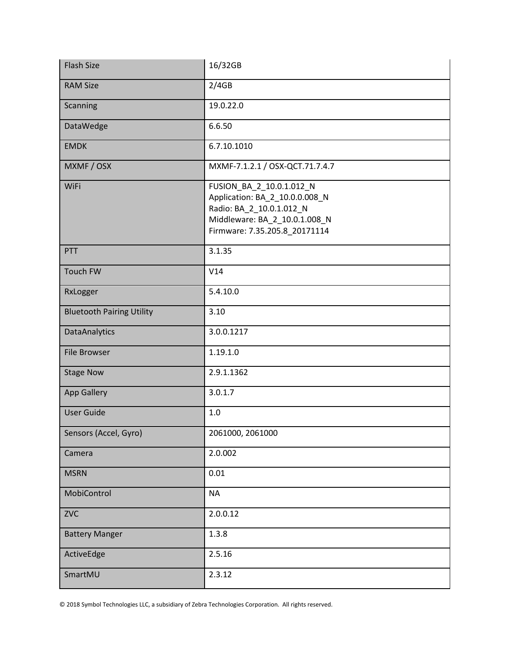| <b>Flash Size</b>                | 16/32GB                                                                                                                                                  |
|----------------------------------|----------------------------------------------------------------------------------------------------------------------------------------------------------|
| <b>RAM Size</b>                  | 2/4GB                                                                                                                                                    |
| Scanning                         | 19.0.22.0                                                                                                                                                |
| DataWedge                        | 6.6.50                                                                                                                                                   |
| <b>EMDK</b>                      | 6.7.10.1010                                                                                                                                              |
| MXMF / OSX                       | MXMF-7.1.2.1 / OSX-QCT.71.7.4.7                                                                                                                          |
| WiFi                             | FUSION_BA_2_10.0.1.012_N<br>Application: BA_2_10.0.0.008_N<br>Radio: BA_2_10.0.1.012_N<br>Middleware: BA_2_10.0.1.008_N<br>Firmware: 7.35.205.8_20171114 |
| PTT                              | 3.1.35                                                                                                                                                   |
| <b>Touch FW</b>                  | V14                                                                                                                                                      |
| RxLogger                         | 5.4.10.0                                                                                                                                                 |
| <b>Bluetooth Pairing Utility</b> | 3.10                                                                                                                                                     |
| <b>DataAnalytics</b>             | 3.0.0.1217                                                                                                                                               |
| <b>File Browser</b>              | 1.19.1.0                                                                                                                                                 |
| <b>Stage Now</b>                 | 2.9.1.1362                                                                                                                                               |
| <b>App Gallery</b>               | 3.0.1.7                                                                                                                                                  |
| <b>User Guide</b>                | 1.0                                                                                                                                                      |
| Sensors (Accel, Gyro)            | 2061000, 2061000                                                                                                                                         |
| Camera                           | 2.0.002                                                                                                                                                  |
| <b>MSRN</b>                      | 0.01                                                                                                                                                     |
| MobiControl                      | <b>NA</b>                                                                                                                                                |
| <b>ZVC</b>                       | 2.0.0.12                                                                                                                                                 |
| <b>Battery Manger</b>            | 1.3.8                                                                                                                                                    |
| ActiveEdge                       | 2.5.16                                                                                                                                                   |
| SmartMU                          | 2.3.12                                                                                                                                                   |

© 2018 Symbol Technologies LLC, a subsidiary of Zebra Technologies Corporation. All rights reserved.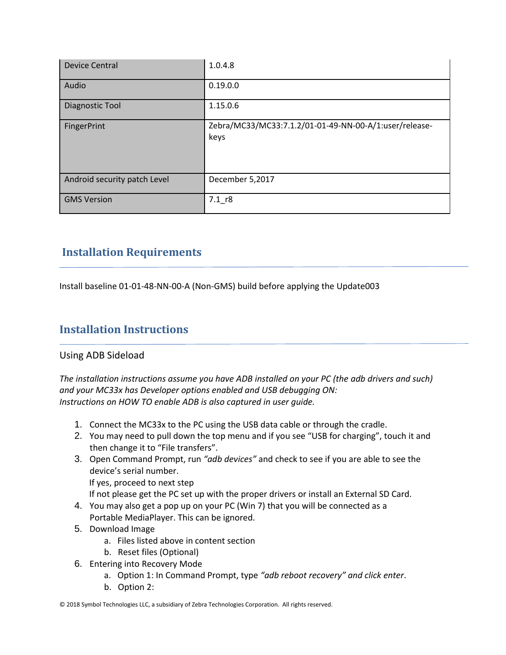| <b>Device Central</b>        | 1.0.4.8                                                        |
|------------------------------|----------------------------------------------------------------|
| Audio                        | 0.19.0.0                                                       |
| Diagnostic Tool              | 1.15.0.6                                                       |
| FingerPrint                  | Zebra/MC33/MC33:7.1.2/01-01-49-NN-00-A/1:user/release-<br>keys |
| Android security patch Level | December 5,2017                                                |
| <b>GMS Version</b>           | $7.1$ r <sub>8</sub>                                           |

## **Installation Requirements**

Install baseline 01-01-48-NN-00-A (Non-GMS) build before applying the Update003

## **Installation Instructions**

### Using ADB Sideload

*The installation instructions assume you have ADB installed on your PC (the adb drivers and such) and your MC33x has Developer options enabled and USB debugging ON: Instructions on HOW TO enable ADB is also captured in user guide.*

- 1. Connect the MC33x to the PC using the USB data cable or through the cradle.
- 2. You may need to pull down the top menu and if you see "USB for charging", touch it and then change it to "File transfers".
- 3. Open Command Prompt, run *"adb devices"* and check to see if you are able to see the device's serial number.

If yes, proceed to next step

If not please get the PC set up with the proper drivers or install an External SD Card.

- 4. You may also get a pop up on your PC (Win 7) that you will be connected as a Portable MediaPlayer. This can be ignored.
- 5. Download Image
	- a. Files listed above in content section
	- b. Reset files (Optional)
- 6. Entering into Recovery Mode
	- a. Option 1: In Command Prompt, type *"adb reboot recovery" and click enter*.
	- b. Option 2:

<sup>© 2018</sup> Symbol Technologies LLC, a subsidiary of Zebra Technologies Corporation. All rights reserved.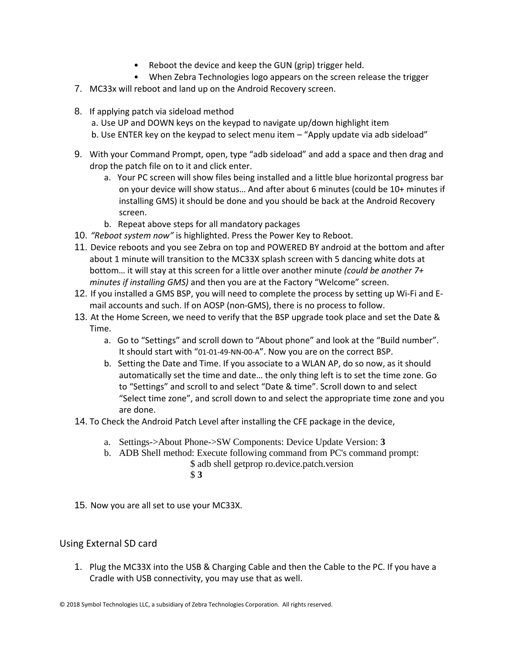- Reboot the device and keep the GUN (grip) trigger held.
- When Zebra Technologies logo appears on the screen release the trigger
- 7. MC33x will reboot and land up on the Android Recovery screen.
- 8. If applying patch via sideload method a. Use UP and DOWN keys on the keypad to navigate up/down highlight item b. Use ENTER key on the keypad to select menu item – "Apply update via adb sideload"
- 9. With your Command Prompt, open, type "adb sideload" and add a space and then drag and drop the patch file on to it and click enter.
	- a. Your PC screen will show files being installed and a little blue horizontal progress bar on your device will show status… And after about 6 minutes (could be 10+ minutes if installing GMS) it should be done and you should be back at the Android Recovery screen.
	- b. Repeat above steps for all mandatory packages
- 10. *"Reboot system now"* is highlighted. Press the Power Key to Reboot.
- 11. Device reboots and you see Zebra on top and POWERED BY android at the bottom and after about 1 minute will transition to the MC33X splash screen with 5 dancing white dots at bottom… it will stay at this screen for a little over another minute *(could be another 7+ minutes if installing GMS)* and then you are at the Factory "Welcome" screen.
- 12. If you installed a GMS BSP, you will need to complete the process by setting up Wi‐Fi and E‐ mail accounts and such. If on AOSP (non‐GMS), there is no process to follow.
- 13. At the Home Screen, we need to verify that the BSP upgrade took place and set the Date & Time.
	- a. Go to "Settings" and scroll down to "About phone" and look at the "Build number". It should start with "01-01-49-NN-00-A". Now you are on the correct BSP.
	- b. Setting the Date and Time. If you associate to a WLAN AP, do so now, as it should automatically set the time and date… the only thing left is to set the time zone. Go to "Settings" and scroll to and select "Date & time". Scroll down to and select "Select time zone", and scroll down to and select the appropriate time zone and you are done.
- 14. To Check the Android Patch Level after installing the CFE package in the device,
	- a. Settings->About Phone->SW Components: Device Update Version: **3**
	- b. ADB Shell method: Execute following command from PC's command prompt:
		- \$ adb shell getprop ro.device.patch.version \$ **3**
- 15. Now you are all set to use your MC33X.

### Using External SD card

1. Plug the MC33X into the USB & Charging Cable and then the Cable to the PC. If you have a Cradle with USB connectivity, you may use that as well.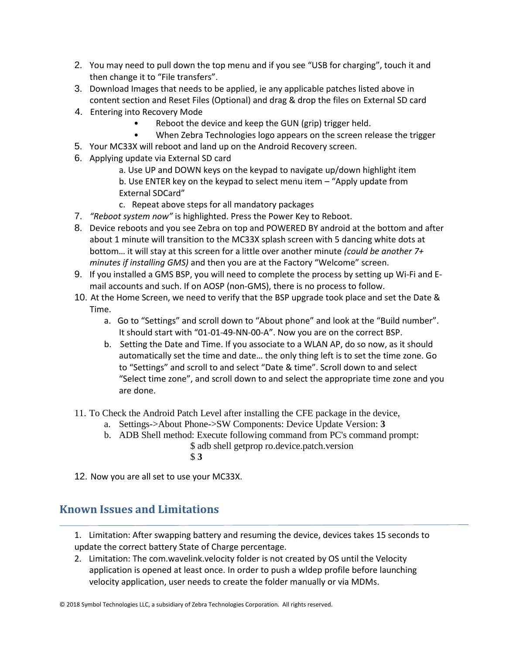- 2. You may need to pull down the top menu and if you see "USB for charging", touch it and then change it to "File transfers".
- 3. Download Images that needs to be applied, ie any applicable patches listed above in content section and Reset Files (Optional) and drag & drop the files on External SD card
- 4. Entering into Recovery Mode
	- Reboot the device and keep the GUN (grip) trigger held.
	- When Zebra Technologies logo appears on the screen release the trigger
- 5. Your MC33X will reboot and land up on the Android Recovery screen.
- 6. Applying update via External SD card

a. Use UP and DOWN keys on the keypad to navigate up/down highlight item b. Use ENTER key on the keypad to select menu item – "Apply update from External SDCard"

- c. Repeat above steps for all mandatory packages
- 7. *"Reboot system now"* is highlighted. Press the Power Key to Reboot.
- 8. Device reboots and you see Zebra on top and POWERED BY android at the bottom and after about 1 minute will transition to the MC33X splash screen with 5 dancing white dots at bottom… it will stay at this screen for a little over another minute *(could be another 7+ minutes if installing GMS)* and then you are at the Factory "Welcome" screen.
- 9. If you installed a GMS BSP, you will need to complete the process by setting up Wi‐Fi and E‐ mail accounts and such. If on AOSP (non‐GMS), there is no process to follow.
- 10. At the Home Screen, we need to verify that the BSP upgrade took place and set the Date & Time.
	- a. Go to "Settings" and scroll down to "About phone" and look at the "Build number". It should start with "01-01-49-NN-00-A". Now you are on the correct BSP.
	- b. Setting the Date and Time. If you associate to a WLAN AP, do so now, as it should automatically set the time and date… the only thing left is to set the time zone. Go to "Settings" and scroll to and select "Date & time". Scroll down to and select "Select time zone", and scroll down to and select the appropriate time zone and you are done.
- 11. To Check the Android Patch Level after installing the CFE package in the device,
	- a. Settings->About Phone->SW Components: Device Update Version: **3**
	- b. ADB Shell method: Execute following command from PC's command prompt: \$ adb shell getprop ro.device.patch.version
		- \$ **3**
- 12. Now you are all set to use your MC33X.

## **Known Issues and Limitations**

- 1. Limitation: After swapping battery and resuming the device, devices takes 15 seconds to update the correct battery State of Charge percentage.
- 2. Limitation: The com.wavelink.velocity folder is not created by OS until the Velocity application is opened at least once. In order to push a wldep profile before launching velocity application, user needs to create the folder manually or via MDMs.